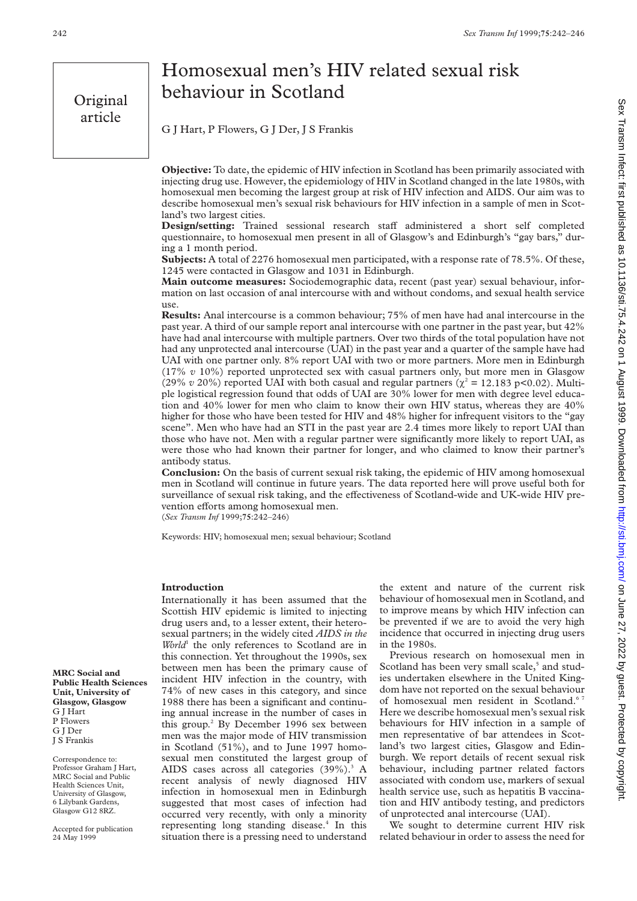Original article

# Homosexual men's HIV related sexual risk behaviour in Scotland

G J Hart, P Flowers, G J Der, J S Frankis

**Objective:** To date, the epidemic of HIV infection in Scotland has been primarily associated with injecting drug use. However, the epidemiology of HIV in Scotland changed in the late 1980s, with homosexual men becoming the largest group at risk of HIV infection and AIDS. Our aim was to describe homosexual men's sexual risk behaviours for HIV infection in a sample of men in Scotland's two largest cities.

**Design/setting:** Trained sessional research staff administered a short self completed questionnaire, to homosexual men present in all of Glasgow's and Edinburgh's "gay bars," during a 1 month period.

**Subjects:** A total of 2276 homosexual men participated, with a response rate of 78.5%. Of these, 1245 were contacted in Glasgow and 1031 in Edinburgh.

**Main outcome measures:** Sociodemographic data, recent (past year) sexual behaviour, information on last occasion of anal intercourse with and without condoms, and sexual health service use.

**Results:** Anal intercourse is a common behaviour; 75% of men have had anal intercourse in the past year. A third of our sample report anal intercourse with one partner in the past year, but 42% have had anal intercourse with multiple partners. Over two thirds of the total population have not had any unprotected anal intercourse (UAI) in the past year and a quarter of the sample have had UAI with one partner only. 8% report UAI with two or more partners. More men in Edinburgh (17% *v* 10%) reported unprotected sex with casual partners only, but more men in Glasgow (29% *v* 20%) reported UAI with both casual and regular partners ( $\chi^2 = 12.183$  p<0.02). Multiple logistical regression found that odds of UAI are 30% lower for men with degree level education and 40% lower for men who claim to know their own HIV status, whereas they are 40% higher for those who have been tested for HIV and 48% higher for infrequent visitors to the "gay scene". Men who have had an STI in the past year are 2.4 times more likely to report UAI than those who have not. Men with a regular partner were significantly more likely to report UAI, as were those who had known their partner for longer, and who claimed to know their partner's antibody status.

**Conclusion:** On the basis of current sexual risk taking, the epidemic of HIV among homosexual men in Scotland will continue in future years. The data reported here will prove useful both for surveillance of sexual risk taking, and the effectiveness of Scotland-wide and UK-wide HIV prevention efforts among homosexual men.

(*Sex Transm Inf* 1999;**75**:242–246)

Keywords: HIV; homosexual men; sexual behaviour; Scotland

# **Introduction**

Internationally it has been assumed that the Scottish HIV epidemic is limited to injecting drug users and, to a lesser extent, their heterosexual partners; in the widely cited *AIDS in the World*<sup>1</sup> the only references to Scotland are in this connection. Yet throughout the 1990s, sex between men has been the primary cause of incident HIV infection in the country, with 74% of new cases in this category, and since 1988 there has been a significant and continuing annual increase in the number of cases in this group.<sup>2</sup> By December 1996 sex between men was the major mode of HIV transmission in Scotland (51%), and to June 1997 homosexual men constituted the largest group of AIDS cases across all categories (39%).<sup>3</sup> A recent analysis of newly diagnosed HIV infection in homosexual men in Edinburgh suggested that most cases of infection had occurred very recently, with only a minority representing long standing disease.<sup>4</sup> In this situation there is a pressing need to understand

the extent and nature of the current risk behaviour of homosexual men in Scotland, and to improve means by which HIV infection can be prevented if we are to avoid the very high incidence that occurred in injecting drug users in the 1980s.

Previous research on homosexual men in Scotland has been very small scale,<sup>5</sup> and studies undertaken elsewhere in the United Kingdom have not reported on the sexual behaviour of homosexual men resident in Scotland.<sup>67</sup> Here we describe homosexual men's sexual risk behaviours for HIV infection in a sample of men representative of bar attendees in Scotland's two largest cities, Glasgow and Edinburgh. We report details of recent sexual risk behaviour, including partner related factors associated with condom use, markers of sexual health service use, such as hepatitis B vaccination and HIV antibody testing, and predictors of unprotected anal intercourse (UAI).

We sought to determine current HIV risk related behaviour in order to assess the need for

**MRC Social and Public Health Sciences Unit, University of Glasgow, Glasgow** G J Hart P Flowers G J Der J S Frankis

Correspondence to: Professor Graham J Hart, MRC Social and Public Health Sciences Unit, University of Glasgow, 6 Lilybank Gardens, Glasgow G12 8RZ.

Accepted for publication 24 May 1999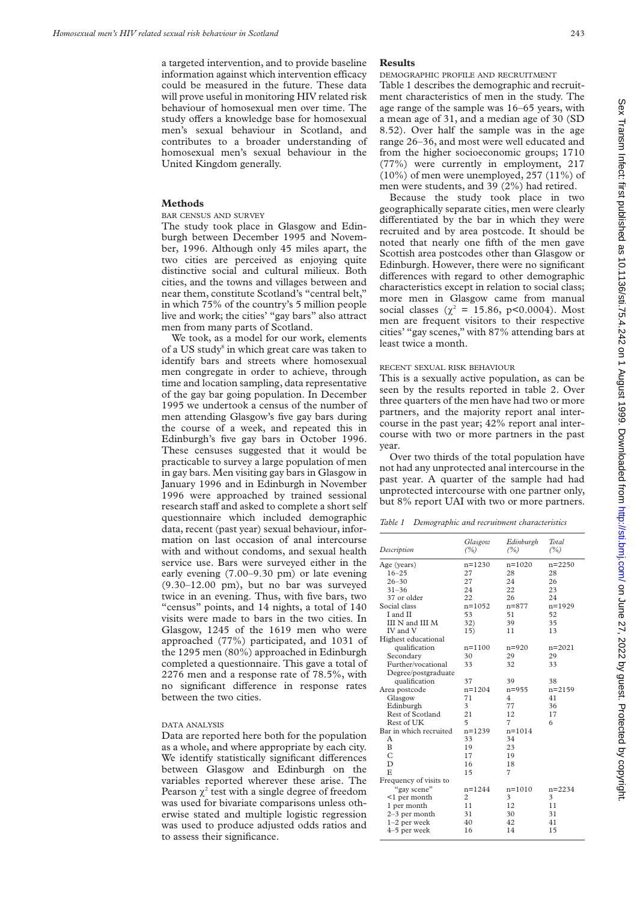a targeted intervention, and to provide baseline information against which intervention efficacy could be measured in the future. These data will prove useful in monitoring HIV related risk behaviour of homosexual men over time. The study offers a knowledge base for homosexual men's sexual behaviour in Scotland, and contributes to a broader understanding of homosexual men's sexual behaviour in the United Kingdom generally.

## **Methods**

BAR CENSUS AND SURVEY

The study took place in Glasgow and Edinburgh between December 1995 and November, 1996. Although only 45 miles apart, the two cities are perceived as enjoying quite distinctive social and cultural milieux. Both cities, and the towns and villages between and near them, constitute Scotland's "central belt," in which 75% of the country's 5 million people live and work; the cities' "gay bars" also attract men from many parts of Scotland.

We took, as a model for our work, elements of a US study<sup>8</sup> in which great care was taken to identify bars and streets where homosexual men congregate in order to achieve, through time and location sampling, data representative of the gay bar going population. In December 1995 we undertook a census of the number of men attending Glasgow's five gay bars during the course of a week, and repeated this in Edinburgh's five gay bars in October 1996. These censuses suggested that it would be practicable to survey a large population of men in gay bars. Men visiting gay bars in Glasgow in January 1996 and in Edinburgh in November 1996 were approached by trained sessional research staff and asked to complete a short self questionnaire which included demographic data, recent (past year) sexual behaviour, information on last occasion of anal intercourse with and without condoms, and sexual health service use. Bars were surveyed either in the early evening (7.00–9.30 pm) or late evening (9.30–12.00 pm), but no bar was surveyed twice in an evening. Thus, with five bars, two "census" points, and 14 nights, a total of 140 visits were made to bars in the two cities. In Glasgow, 1245 of the 1619 men who were approached (77%) participated, and 1031 of the 1295 men (80%) approached in Edinburgh completed a questionnaire. This gave a total of 2276 men and a response rate of 78.5%, with no significant difference in response rates between the two cities.

#### DATA ANALYSIS

Data are reported here both for the population as a whole, and where appropriate by each city. We identify statistically significant differences between Glasgow and Edinburgh on the variables reported wherever these arise. The Pearson  $\chi^2$  test with a single degree of freedom was used for bivariate comparisons unless otherwise stated and multiple logistic regression was used to produce adjusted odds ratios and to assess their significance.

#### **Results**

DEMOGRAPHIC PROFILE AND RECRUITMENT

Table 1 describes the demographic and recruitment characteristics of men in the study. The age range of the sample was 16–65 years, with a mean age of 31, and a median age of 30 (SD 8.52). Over half the sample was in the age range 26–36, and most were well educated and from the higher socioeconomic groups; 1710 (77%) were currently in employment, 217  $(10\%)$  of men were unemployed, 257  $(11\%)$  of men were students, and 39 (2%) had retired.

Because the study took place in two geographically separate cities, men were clearly differentiated by the bar in which they were recruited and by area postcode. It should be noted that nearly one fifth of the men gave Scottish area postcodes other than Glasgow or Edinburgh. However, there were no significant differences with regard to other demographic characteristics except in relation to social class; more men in Glasgow came from manual social classes ( $\chi^2 = 15.86$ , p<0.0004). Most men are frequent visitors to their respective cities' "gay scenes," with 87% attending bars at least twice a month.

### RECENT SEXUAL RISK BEHAVIOUR

This is a sexually active population, as can be seen by the results reported in table 2. Over three quarters of the men have had two or more partners, and the majority report anal intercourse in the past year; 42% report anal intercourse with two or more partners in the past year.

Over two thirds of the total population have not had any unprotected anal intercourse in the past year. A quarter of the sample had had unprotected intercourse with one partner only, but 8% report UAI with two or more partners.

| Description            | Glasgow<br>(%) | Edinburgh<br>(%) | Total<br>(%) |  |
|------------------------|----------------|------------------|--------------|--|
| Age (years)            | $n = 1230$     | $n = 1020$       | $n = 2250$   |  |
| $16 - 25$              | 27             | 28               | 28           |  |
| $26 - 30$              | 27             | 24               | 26           |  |
| $31 - 36$              | 24             | 22               | 23           |  |
| 37 or older            | 22             | 26               | 24           |  |
| Social class           | $n = 1052$     | $n = 877$        | $n = 1929$   |  |
| I and II               | 53             | 51               | 52           |  |
| III N and III M        | 32)            | 39               | 35           |  |
| IV and V               | 15)            | 11               | 13           |  |
| Highest educational    |                |                  |              |  |
| qualification          | $n = 1100$     | $n = 920$        | $n = 2021$   |  |
| Secondary              | 30             | 29               | 29           |  |
| Further/vocational     | 33             | 32               | 33           |  |
| Degree/postgraduate    |                |                  |              |  |
| qualification          | 37             | 39               | 38           |  |
| Area postcode          | $n = 1204$     | $n = 955$        | $n = 2159$   |  |
| Glasgow                | 71             | 4                | 41           |  |
| Edinburgh              | 3              | 77               | 36           |  |
| Rest of Scotland       | 21             | 12               | 17           |  |
| Rest of UK             | 5              | 7                | 6            |  |
| Bar in which recruited | $n = 1239$     | $n = 1014$       |              |  |
| Α                      | 33             | 34               |              |  |
| B                      | 19             | 23               |              |  |
| C                      | 17             | 19               |              |  |
| D                      | 16             | 18               |              |  |
| E                      | 15             | 7                |              |  |
| Frequency of visits to |                |                  |              |  |
| "gay scene"            | $n = 1244$     | $n = 1010$       | $n = 2234$   |  |
| $\leq 1$ per month     | 2              | 3                | 3            |  |
| 1 per month            | 11             | 12               | 11           |  |
| $2-3$ per month        | 31             | 30               | 31           |  |
| $1-2$ per week         | 40             | 42               | 41           |  |
| 4-5 per week           | 16             | 14               | 15           |  |
|                        |                |                  |              |  |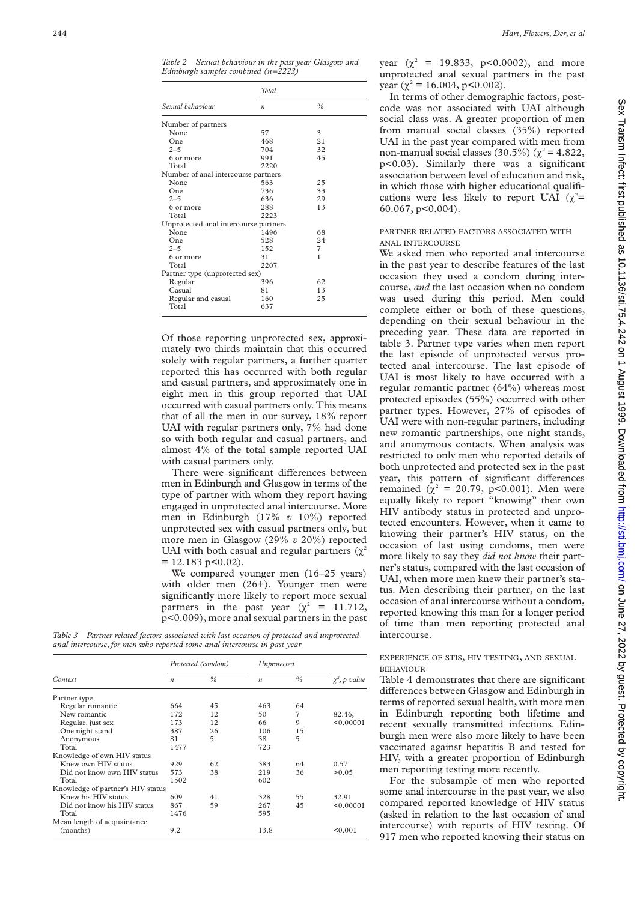*Table 2 Sexual behaviour in the past year Glasgow and Edinburgh samples combined (n=2223)*

| Sexual behaviour                      | <b>Total</b>     |    |  |  |
|---------------------------------------|------------------|----|--|--|
|                                       | $\boldsymbol{n}$ | %  |  |  |
| Number of partners                    |                  |    |  |  |
| None                                  | 57               | 3  |  |  |
| One                                   | 468              | 21 |  |  |
| $2 - 5$                               | 704              | 32 |  |  |
| 6 or more                             | 991              | 45 |  |  |
| Total                                 | 2220             |    |  |  |
| Number of anal intercourse partners   |                  |    |  |  |
| None                                  | 563              | 25 |  |  |
| One                                   | 736              | 33 |  |  |
| $2 - 5$                               | 636              | 29 |  |  |
| 6 or more                             | 288              | 13 |  |  |
| Total                                 | 2223             |    |  |  |
| Unprotected anal intercourse partners |                  |    |  |  |
| None                                  | 1496             | 68 |  |  |
| One                                   | 528              | 24 |  |  |
| $2 - 5$                               | 152              | 7  |  |  |
| 6 or more                             | 31               | 1  |  |  |
| Total                                 | 2207             |    |  |  |
| Partner type (unprotected sex)        |                  |    |  |  |
| Regular                               | 396              | 62 |  |  |
| Casual                                | 81               | 13 |  |  |
| Regular and casual                    | 160              | 25 |  |  |
| Total                                 | 637              |    |  |  |

Of those reporting unprotected sex, approximately two thirds maintain that this occurred solely with regular partners, a further quarter reported this has occurred with both regular and casual partners, and approximately one in eight men in this group reported that UAI occurred with casual partners only. This means that of all the men in our survey, 18% report UAI with regular partners only, 7% had done so with both regular and casual partners, and almost 4% of the total sample reported UAI with casual partners only.

There were significant differences between men in Edinburgh and Glasgow in terms of the type of partner with whom they report having engaged in unprotected anal intercourse. More men in Edinburgh (17% *v* 10%) reported unprotected sex with casual partners only, but more men in Glasgow (29% *v* 20%) reported UAI with both casual and regular partners ( $\chi^2$ )  $= 12.183$  p < 0.02).

We compared younger men (16–25 years) with older men (26+). Younger men were significantly more likely to report more sexual partners in the past year  $(\chi^2 = 11.712,$ p<0.009), more anal sexual partners in the past

*Table 3 Partner related factors associated with last occasion of protected and unprotected anal intercourse, for men who reported some anal intercourse in past year*

| Context                           |                  | Protected (condom) |                  | Unprotected    |                    |
|-----------------------------------|------------------|--------------------|------------------|----------------|--------------------|
|                                   | $\boldsymbol{n}$ | $\%$               | $\boldsymbol{n}$ | $\%$           | $\chi^2$ , p value |
| Partner type                      |                  |                    |                  |                |                    |
| Regular romantic                  | 664              | 45                 | 463              | 64             |                    |
| New romantic                      | 172              | 12                 | 50               | $\overline{7}$ | 82.46,             |
| Regular, just sex                 | 173              | 12                 | 66               | 9              | < 0.00001          |
| One night stand                   | 387              | 26                 | 106              | 15             |                    |
| Anonymous                         | 81               | 5                  | 38               | 5              |                    |
| Total                             | 1477             |                    | 723              |                |                    |
| Knowledge of own HIV status       |                  |                    |                  |                |                    |
| Knew own HIV status               | 929              | 62                 | 383              | 64             | 0.57               |
| Did not know own HIV status       | 573              | 38                 | 219              | 36             | > 0.05             |
| Total                             | 1502             |                    | 602              |                |                    |
| Knowledge of partner's HIV status |                  |                    |                  |                |                    |
| Knew his HIV status               | 609              | 41                 | 328              | 55             | 32.91              |
| Did not know his HIV status       | 867              | 59                 | 267              | 45             | < 0.00001          |
| Total                             | 1476             |                    | 595              |                |                    |
| Mean length of acquaintance       |                  |                    |                  |                |                    |
| (months)                          | 9.2              |                    | 13.8             |                | < 0.001            |

year  $(\chi^2 = 19.833, \, p<0.0002)$ , and more unprotected anal sexual partners in the past year ( $\chi^2$  = 16.004, p<0.002).

In terms of other demographic factors, postcode was not associated with UAI although social class was. A greater proportion of men from manual social classes (35%) reported UAI in the past year compared with men from non-manual social classes (30.5%) ( $\chi^2$  = 4.822, p<0.03). Similarly there was a significant association between level of education and risk, in which those with higher educational qualifications were less likely to report UAI ( $\chi^2$ = 60.067, p<0.004).

## PARTNER RELATED FACTORS ASSOCIATED WITH ANAL INTERCOURSE

We asked men who reported anal intercourse in the past year to describe features of the last occasion they used a condom during intercourse, *and* the last occasion when no condom was used during this period. Men could complete either or both of these questions, depending on their sexual behaviour in the preceding year. These data are reported in table 3. Partner type varies when men report the last episode of unprotected versus protected anal intercourse. The last episode of UAI is most likely to have occurred with a regular romantic partner (64%) whereas most protected episodes (55%) occurred with other partner types. However, 27% of episodes of UAI were with non-regular partners, including new romantic partnerships, one night stands, and anonymous contacts. When analysis was restricted to only men who reported details of both unprotected and protected sex in the past year, this pattern of significant differences remained ( $\chi^2 = 20.79$ , p<0.001). Men were equally likely to report "knowing" their own HIV antibody status in protected and unprotected encounters. However, when it came to knowing their partner's HIV status, on the occasion of last using condoms, men were more likely to say they *did not know* their partner's status, compared with the last occasion of UAI, when more men knew their partner's status. Men describing their partner, on the last occasion of anal intercourse without a condom, reported knowing this man for a longer period of time than men reporting protected anal intercourse.

EXPERIENCE OF STIS, HIV TESTING, AND SEXUAL BEHAVIOUR

Table 4 demonstrates that there are significant differences between Glasgow and Edinburgh in terms of reported sexual health, with more men in Edinburgh reporting both lifetime and recent sexually transmitted infections. Edinburgh men were also more likely to have been vaccinated against hepatitis B and tested for HIV, with a greater proportion of Edinburgh men reporting testing more recently.

For the subsample of men who reported some anal intercourse in the past year, we also compared reported knowledge of HIV status (asked in relation to the last occasion of anal intercourse) with reports of HIV testing. Of 917 men who reported knowing their status on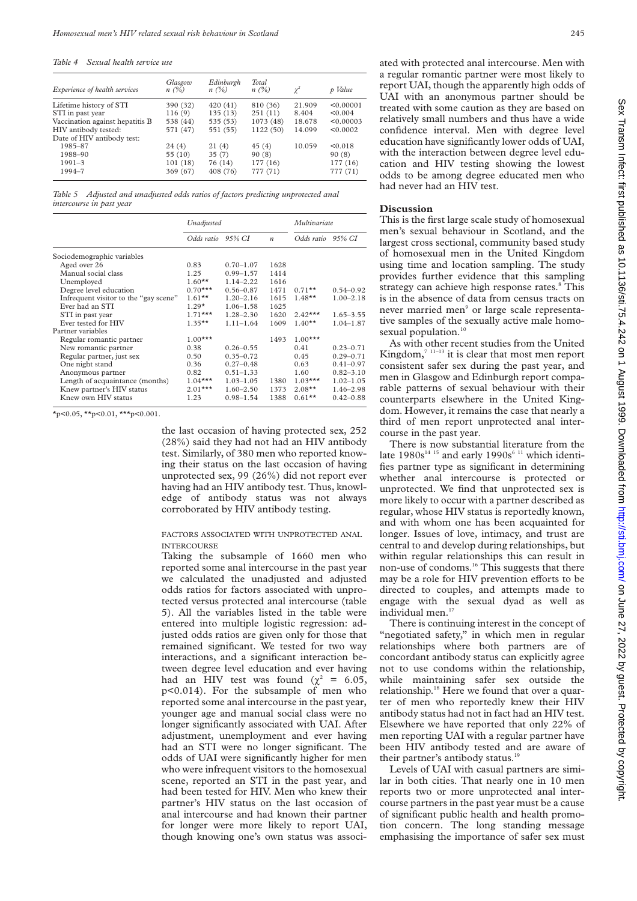| Experience of health services                                                                          | Glasgow<br>$n(\%)$                         | Edinburgh<br>$n(\%)$                       | Total<br>$n(\%)$                              | $\gamma^2$                          | p Value                                       |
|--------------------------------------------------------------------------------------------------------|--------------------------------------------|--------------------------------------------|-----------------------------------------------|-------------------------------------|-----------------------------------------------|
| Lifetime history of STI<br>STI in past year<br>Vaccination against hepatitis B<br>HIV antibody tested: | 390 (32)<br>116(9)<br>538 (44)<br>571 (47) | 420(41)<br>135(13)<br>535 (53)<br>551 (55) | 810 (36)<br>251(11)<br>1073 (48)<br>1122 (50) | 21.909<br>8.404<br>18.678<br>14.099 | < 0.00001<br>< 0.004<br>< 0.00003<br>< 0.0002 |
| Date of HIV antibody test:<br>1985-87<br>1988-90<br>$1991 - 3$<br>1994-7                               | 24(4)<br>55(10)<br>101(18)<br>369 (67)     | 21(4)<br>35(7)<br>76 (14)<br>408 (76)      | 45(4)<br>90(8)<br>177(16)<br>777 (71)         | 10.059                              | < 0.018<br>90(8)<br>177 (16)<br>777 (71)      |

*Table 5 Adjusted and unadjusted odds ratios of factors predicting unprotected anal intercourse in past year*

|                                       | Unadjusted |               |                  | Multivariate |               |  |
|---------------------------------------|------------|---------------|------------------|--------------|---------------|--|
|                                       | Odds ratio | 95% CI        | $\boldsymbol{n}$ | Odds ratio   | 95% CI        |  |
| Sociodemographic variables            |            |               |                  |              |               |  |
| Aged over 26                          | 0.83       | $0.70 - 1.07$ | 1628             |              |               |  |
| Manual social class                   | 1.25       | $0.99 - 1.57$ | 1414             |              |               |  |
| Unemployed                            | $1.60**$   | $1.14 - 2.22$ | 1616             |              |               |  |
| Degree level education                | $0.70***$  | $0.56 - 0.87$ | 1471             | $0.71***$    | $0.54 - 0.92$ |  |
| Infrequent visitor to the "gay scene" | $1.61**$   | $1.20 - 2.16$ | 1615             | $1.48**$     | $1.00 - 2.18$ |  |
| Ever had an STI                       | $1.29*$    | $1.06 - 1.58$ | 1625             |              |               |  |
| STI in past year                      | $1.71***$  | $1.28 - 2.30$ | 1620             | $2.42***$    | $1.65 - 3.55$ |  |
| Ever tested for HIV                   | $1.35**$   | $1.11 - 1.64$ | 1609             | $1.40**$     | $1.04 - 1.87$ |  |
| Partner variables                     |            |               |                  |              |               |  |
| Regular romantic partner              | $1.00***$  |               | 1493             | $1.00***$    |               |  |
| New romantic partner                  | 0.38       | $0.26 - 0.55$ |                  | 0.41         | $0.23 - 0.71$ |  |
| Regular partner, just sex             | 0.50       | $0.35 - 0.72$ |                  | 0.45         | $0.29 - 0.71$ |  |
| One night stand                       | 0.36       | $0.27 - 0.48$ |                  | 0.63         | $0.41 - 0.97$ |  |
| Anonymous partner                     | 0.82       | $0.51 - 1.33$ |                  | 1.60         | $0.82 - 3.10$ |  |
| Length of acquaintance (months)       | $1.04***$  | $1.03 - 1.05$ | 1380             | $1.03***$    | $1.02 - 1.05$ |  |
| Knew partner's HIV status             | $2.01***$  | $1.60 - 2.50$ | 1373             | $2.08***$    | $1.46 - 2.98$ |  |
| Knew own HIV status                   | 1.23       | $0.98 - 1.54$ | 1388             | $0.61***$    | $0.42 - 0.88$ |  |

 $\star$ p<0.05,  $\star\star$ p<0.01,  $\star\star\star$ p<0.001.

the last occasion of having protected sex, 252 (28%) said they had not had an HIV antibody test. Similarly, of 380 men who reported knowing their status on the last occasion of having unprotected sex, 99 (26%) did not report ever having had an HIV antibody test. Thus, knowledge of antibody status was not always corroborated by HIV antibody testing.

#### FACTORS ASSOCIATED WITH UNPROTECTED ANAL INTERCOURSE

Taking the subsample of 1660 men who reported some anal intercourse in the past year we calculated the unadjusted and adjusted odds ratios for factors associated with unprotected versus protected anal intercourse (table 5). All the variables listed in the table were entered into multiple logistic regression: adjusted odds ratios are given only for those that remained significant. We tested for two way interactions, and a significant interaction between degree level education and ever having had an HIV test was found ( $\chi^2$  = 6.05, p<0.014). For the subsample of men who reported some anal intercourse in the past year, younger age and manual social class were no longer significantly associated with UAI. After adjustment, unemployment and ever having had an STI were no longer significant. The odds of UAI were significantly higher for men who were infrequent visitors to the homosexual scene, reported an STI in the past year, and had been tested for HIV. Men who knew their partner's HIV status on the last occasion of anal intercourse and had known their partner for longer were more likely to report UAI, though knowing one's own status was associated with protected anal intercourse. Men with a regular romantic partner were most likely to report UAI, though the apparently high odds of UAI with an anonymous partner should be treated with some caution as they are based on relatively small numbers and thus have a wide confidence interval. Men with degree level education have significantly lower odds of UAI, with the interaction between degree level education and HIV testing showing the lowest odds to be among degree educated men who had never had an HIV test.

#### **Discussion**

This is the first large scale study of homosexual men's sexual behaviour in Scotland, and the largest cross sectional, community based study of homosexual men in the United Kingdom using time and location sampling. The study provides further evidence that this sampling strategy can achieve high response rates.<sup>8</sup> This is in the absence of data from census tracts on never married men<sup>9</sup> or large scale representative samples of the sexually active male homosexual population.<sup>10</sup>

As with other recent studies from the United Kingdom, $7^{11-13}$  it is clear that most men report consistent safer sex during the past year, and men in Glasgow and Edinburgh report comparable patterns of sexual behaviour with their counterparts elsewhere in the United Kingdom. However, it remains the case that nearly a third of men report unprotected anal intercourse in the past year.

There is now substantial literature from the late  $1980s^{14}$ <sup>15</sup> and early  $1990s^{6}$ <sup>11</sup> which identifies partner type as significant in determining whether anal intercourse is protected or unprotected. We find that unprotected sex is more likely to occur with a partner described as regular, whose HIV status is reportedly known, and with whom one has been acquainted for longer. Issues of love, intimacy, and trust are central to and develop during relationships, but within regular relationships this can result in non-use of condoms.<sup>16</sup> This suggests that there may be a role for HIV prevention efforts to be directed to couples, and attempts made to engage with the sexual dyad as well as individual men.<sup>17</sup>

There is continuing interest in the concept of "negotiated safety," in which men in regular relationships where both partners are of concordant antibody status can explicitly agree not to use condoms within the relationship, while maintaining safer sex outside the relationship.<sup>18</sup> Here we found that over a quarter of men who reportedly knew their HIV antibody status had not in fact had an HIV test. Elsewhere we have reported that only 22% of men reporting UAI with a regular partner have been HIV antibody tested and are aware of their partner's antibody status.<sup>19</sup>

Levels of UAI with casual partners are similar in both cities. That nearly one in 10 men reports two or more unprotected anal intercourse partners in the past year must be a cause of significant public health and health promotion concern. The long standing message emphasising the importance of safer sex must